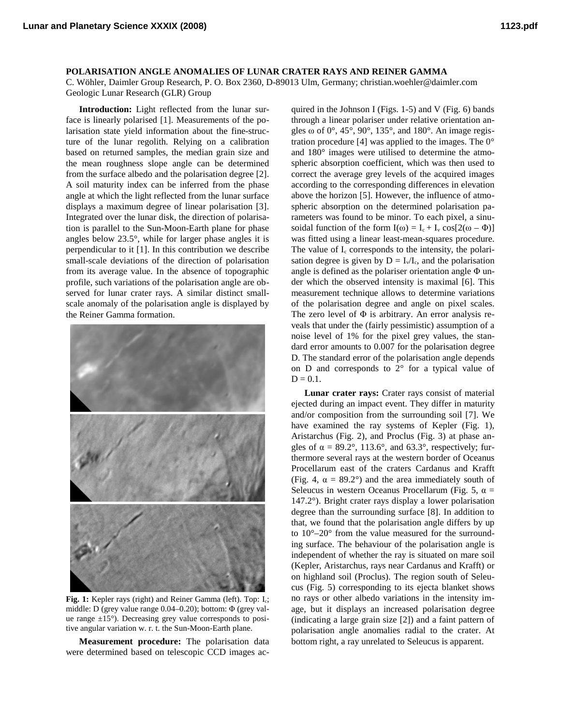**POLARISATION ANGLE ANOMALIES OF LUNAR CRATER RAYS AND REINER GAMMA**

C. Wöhler, Daimler Group Research, P. O. Box 2360, D-89013 Ulm, Germany; christian.woehler@daimler.com Geologic Lunar Research (GLR) Group

**Introduction:** Light reflected from the lunar surface is linearly polarised [1]. Measurements of the polarisation state yield information about the fine-structure of the lunar regolith. Relying on a calibration based on returned samples, the median grain size and the mean roughness slope angle can be determined from the surface albedo and the polarisation degree [2]. A soil maturity index can be inferred from the phase angle at which the light reflected from the lunar surface displays a maximum degree of linear polarisation [3]. Integrated over the lunar disk, the direction of polarisation is parallel to the Sun-Moon-Earth plane for phase angles below 23.5°, while for larger phase angles it is perpendicular to it [1]. In this contribution we describe small-scale deviations of the direction of polarisation from its average value. In the absence of topographic profile, such variations of the polarisation angle are observed for lunar crater rays. A similar distinct smallscale anomaly of the polarisation angle is displayed by the Reiner Gamma formation.



**Fig. 1:** Kepler rays (right) and Reiner Gamma (left). Top: Ic; middle: D (grey value range  $0.04-0.20$ ); bottom:  $\Phi$  (grey value range ±15°). Decreasing grey value corresponds to positive angular variation w. r. t. the Sun-Moon-Earth plane.

**Measurement procedure:** The polarisation data were determined based on telescopic CCD images ac-

quired in the Johnson I (Figs. 1-5) and V (Fig. 6) bands through a linear polariser under relative orientation angles  $\omega$  of 0°, 45°, 90°, 135°, and 180°. An image registration procedure [4] was applied to the images. The  $0^{\circ}$ and 180° images were utilised to determine the atmospheric absorption coefficient, which was then used to correct the average grey levels of the acquired images according to the corresponding differences in elevation above the horizon [5]. However, the influence of atmospheric absorption on the determined polarisation parameters was found to be minor. To each pixel, a sinusoidal function of the form  $I(\omega) = I_c + I_v \cos[2(\omega - \Phi)]$ was fitted using a linear least-mean-squares procedure. The value of  $I_c$  corresponds to the intensity, the polarisation degree is given by  $D = I_v/I_c$ , and the polarisation angle is defined as the polariser orientation angle  $\Phi$  under which the observed intensity is maximal [6]. This measurement technique allows to determine variations of the polarisation degree and angle on pixel scales. The zero level of  $\Phi$  is arbitrary. An error analysis reveals that under the (fairly pessimistic) assumption of a noise level of 1% for the pixel grey values, the standard error amounts to 0.007 for the polarisation degree D. The standard error of the polarisation angle depends on D and corresponds to 2° for a typical value of  $D = 0.1$ .

**Lunar crater rays:** Crater rays consist of material ejected during an impact event. They differ in maturity and/or composition from the surrounding soil [7]. We have examined the ray systems of Kepler (Fig. 1), Aristarchus (Fig. 2), and Proclus (Fig. 3) at phase angles of  $\alpha = 89.2^{\circ}$ , 113.6°, and 63.3°, respectively; furthermore several rays at the western border of Oceanus Procellarum east of the craters Cardanus and Krafft (Fig. 4,  $\alpha = 89.2^{\circ}$ ) and the area immediately south of Seleucus in western Oceanus Procellarum (Fig. 5,  $\alpha$  = 147.2°). Bright crater rays display a lower polarisation degree than the surrounding surface [8]. In addition to that, we found that the polarisation angle differs by up to 10°–20° from the value measured for the surrounding surface. The behaviour of the polarisation angle is independent of whether the ray is situated on mare soil (Kepler, Aristarchus, rays near Cardanus and Krafft) or on highland soil (Proclus). The region south of Seleucus (Fig. 5) corresponding to its ejecta blanket shows no rays or other albedo variations in the intensity image, but it displays an increased polarisation degree (indicating a large grain size [2]) and a faint pattern of polarisation angle anomalies radial to the crater. At bottom right, a ray unrelated to Seleucus is apparent.